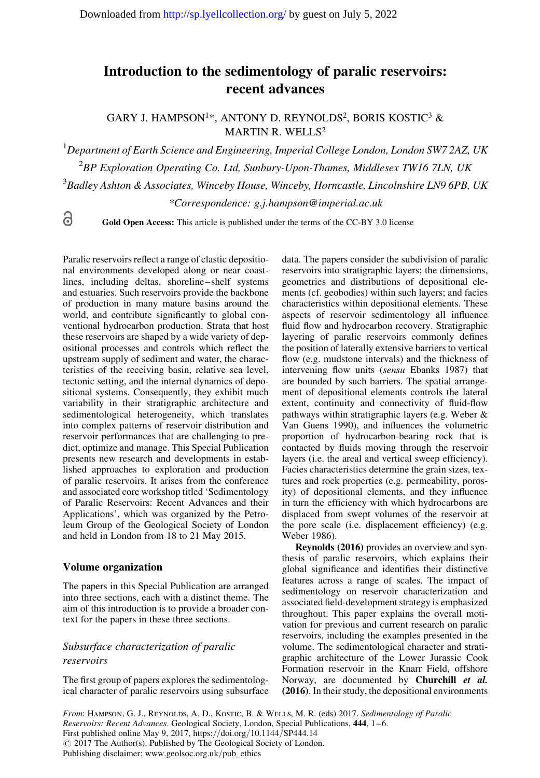# Introduction to the sedimentology of paralic reservoirs: recent advances

GARY J. HAMPSON<sup>1\*</sup>, ANTONY D. REYNOLDS<sup>2</sup>, BORIS KOSTIC<sup>3</sup> & MARTIN R. WELLS<sup>2</sup>

<sup>1</sup>Department of Earth Science and Engineering, Imperial College London, London SW7 2AZ, UK  $^{2}$ BP Exploration Operating Co. Ltd, Sunbury-Upon-Thames, Middlesex TW16 7LN, UK

 $^3$ Badley Ashton & Associates, Winceby House, Winceby, Horncastle, Lincolnshire LN9 6PB, UK

\*Correspondence: [g.j.hampson@imperial.ac.uk](mailto:g.j.hampson@imperial.ac.uk)

Gold Open Access: This article is published under the terms of the [CC-BY 3.0 license](http://creativecommons.org/licenses/by/3.0/)

Paralic reservoirs reflect a range of clastic depositional environments developed along or near coastlines, including deltas, shoreline– shelf systems and estuaries. Such reservoirs provide the backbone of production in many mature basins around the world, and contribute significantly to global conventional hydrocarbon production. Strata that host these reservoirs are shaped by a wide variety of depositional processes and controls which reflect the upstream supply of sediment and water, the characteristics of the receiving basin, relative sea level, tectonic setting, and the internal dynamics of depositional systems. Consequently, they exhibit much variability in their stratigraphic architecture and sedimentological heterogeneity, which translates into complex patterns of reservoir distribution and reservoir performances that are challenging to predict, optimize and manage. This Special Publication presents new research and developments in established approaches to exploration and production of paralic reservoirs. It arises from the conference and associated core workshop titled 'Sedimentology of Paralic Reservoirs: Recent Advances and their Applications', which was organized by the Petroleum Group of the Geological Society of London and held in London from 18 to 21 May 2015.

## Volume organization

 $\partial$ 

The papers in this Special Publication are arranged into three sections, each with a distinct theme. The aim of this introduction is to provide a broader context for the papers in these three sections.

## Subsurface characterization of paralic reservoirs

The first group of papers explores the sedimentological character of paralic reservoirs using subsurface

data. The papers consider the subdivision of paralic reservoirs into stratigraphic layers; the dimensions, geometries and distributions of depositional elements (cf. geobodies) within such layers; and facies characteristics within depositional elements. These aspects of reservoir sedimentology all influence fluid flow and hydrocarbon recovery. Stratigraphic layering of paralic reservoirs commonly defines the position of laterally extensive barriers to vertical flow (e.g. mudstone intervals) and the thickness of intervening flow units (sensu Ebanks 1987) that are bounded by such barriers. The spatial arrangement of depositional elements controls the lateral extent, continuity and connectivity of fluid-flow pathways within stratigraphic layers (e.g. Weber & Van Guens 1990), and influences the volumetric proportion of hydrocarbon-bearing rock that is contacted by fluids moving through the reservoir layers (i.e. the areal and vertical sweep efficiency). Facies characteristics determine the grain sizes, textures and rock properties (e.g. permeability, porosity) of depositional elements, and they influence in turn the efficiency with which hydrocarbons are displaced from swept volumes of the reservoir at the pore scale (i.e. displacement efficiency) (e.g. Weber 1986).

Reynolds (2016) provides an overview and synthesis of paralic reservoirs, which explains their global significance and identifies their distinctive features across a range of scales. The impact of sedimentology on reservoir characterization and associated field-development strategy is emphasized throughout. This paper explains the overall motivation for previous and current research on paralic reservoirs, including the examples presented in the volume. The sedimentological character and stratigraphic architecture of the Lower Jurassic Cook Formation reservoir in the Knarr Field, offshore Norway, are documented by Churchill et al. (2016). In their study, the depositional environments

From: HAMPSON, G. J., REYNOLDS, A. D., KOSTIC, B. & WELLS, M. R. (eds) 2017. Sedimentology of Paralic Reservoirs: Recent Advances. Geological Society, London, Special Publications, 444, 1 –6. First published online May 9, 2017, https://doi.org/10.1144/SP444.14  $\odot$  2017 The Author(s). Published by The Geological Society of London. Publishing disclaimer: www.geolsoc.org.uk/pub\_ethics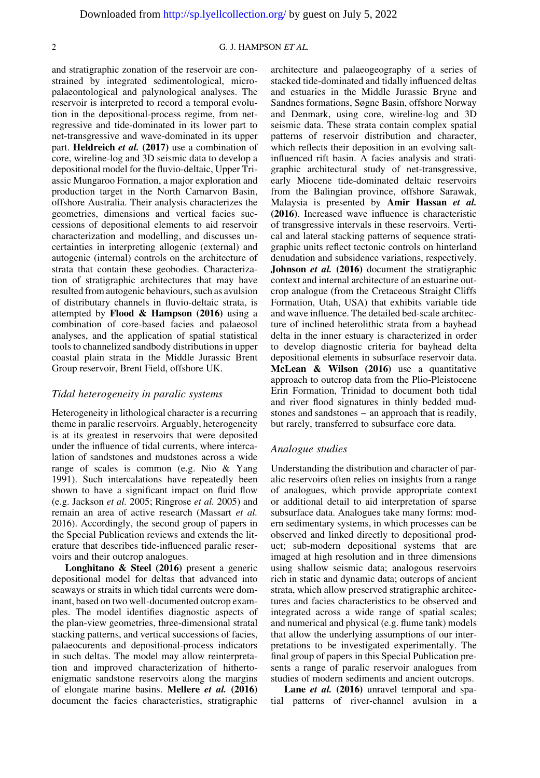## 2 G. J. HAMPSON ET AL.

and stratigraphic zonation of the reservoir are constrained by integrated sedimentological, micropalaeontological and palynological analyses. The reservoir is interpreted to record a temporal evolution in the depositional-process regime, from netregressive and tide-dominated in its lower part to net-transgressive and wave-dominated in its upper part. Heldreich et al. (2017) use a combination of core, wireline-log and 3D seismic data to develop a depositional model for the fluvio-deltaic, Upper Triassic Mungaroo Formation, a major exploration and production target in the North Carnarvon Basin, offshore Australia. Their analysis characterizes the geometries, dimensions and vertical facies successions of depositional elements to aid reservoir characterization and modelling, and discusses uncertainties in interpreting allogenic (external) and autogenic (internal) controls on the architecture of strata that contain these geobodies. Characterization of stratigraphic architectures that may have resulted from autogenic behaviours, such as avulsion of distributary channels in fluvio-deltaic strata, is attempted by Flood  $\&$  Hampson (2016) using a combination of core-based facies and palaeosol analyses, and the application of spatial statistical tools to channelized sandbody distributions in upper coastal plain strata in the Middle Jurassic Brent Group reservoir, Brent Field, offshore UK.

### Tidal heterogeneity in paralic systems

Heterogeneity in lithological character is a recurring theme in paralic reservoirs. Arguably, heterogeneity is at its greatest in reservoirs that were deposited under the influence of tidal currents, where intercalation of sandstones and mudstones across a wide range of scales is common (e.g. Nio & Yang 1991). Such intercalations have repeatedly been shown to have a significant impact on fluid flow (e.g. Jackson et al. 2005; Ringrose et al. 2005) and remain an area of active research (Massart et al. 2016). Accordingly, the second group of papers in the Special Publication reviews and extends the literature that describes tide-influenced paralic reservoirs and their outcrop analogues.

Longhitano & Steel (2016) present a generic depositional model for deltas that advanced into seaways or straits in which tidal currents were dominant, based on two well-documented outcrop examples. The model identifies diagnostic aspects of the plan-view geometries, three-dimensional stratal stacking patterns, and vertical successions of facies, palaeocurents and depositional-process indicators in such deltas. The model may allow reinterpretation and improved characterization of hithertoenigmatic sandstone reservoirs along the margins of elongate marine basins. Mellere et al. (2016) document the facies characteristics, stratigraphic

architecture and palaeogeography of a series of stacked tide-dominated and tidally influenced deltas and estuaries in the Middle Jurassic Bryne and Sandnes formations, Søgne Basin, offshore Norway and Denmark, using core, wireline-log and 3D seismic data. These strata contain complex spatial patterns of reservoir distribution and character, which reflects their deposition in an evolving saltinfluenced rift basin. A facies analysis and stratigraphic architectural study of net-transgressive, early Miocene tide-dominated deltaic reservoirs from the Balingian province, offshore Sarawak, Malaysia is presented by Amir Hassan et al. (2016). Increased wave influence is characteristic of transgressive intervals in these reservoirs. Vertical and lateral stacking patterns of sequence stratigraphic units reflect tectonic controls on hinterland denudation and subsidence variations, respectively. Johnson et al. (2016) document the stratigraphic context and internal architecture of an estuarine outcrop analogue (from the Cretaceous Straight Cliffs Formation, Utah, USA) that exhibits variable tide and wave influence. The detailed bed-scale architecture of inclined heterolithic strata from a bayhead delta in the inner estuary is characterized in order to develop diagnostic criteria for bayhead delta depositional elements in subsurface reservoir data. McLean & Wilson (2016) use a quantitative approach to outcrop data from the Plio-Pleistocene Erin Formation, Trinidad to document both tidal and river flood signatures in thinly bedded mudstones and sandstones – an approach that is readily, but rarely, transferred to subsurface core data.

## Analogue studies

Understanding the distribution and character of paralic reservoirs often relies on insights from a range of analogues, which provide appropriate context or additional detail to aid interpretation of sparse subsurface data. Analogues take many forms: modern sedimentary systems, in which processes can be observed and linked directly to depositional product; sub-modern depositional systems that are imaged at high resolution and in three dimensions using shallow seismic data; analogous reservoirs rich in static and dynamic data; outcrops of ancient strata, which allow preserved stratigraphic architectures and facies characteristics to be observed and integrated across a wide range of spatial scales; and numerical and physical (e.g. flume tank) models that allow the underlying assumptions of our interpretations to be investigated experimentally. The final group of papers in this Special Publication presents a range of paralic reservoir analogues from studies of modern sediments and ancient outcrops.

Lane *et al.* (2016) unravel temporal and spatial patterns of river-channel avulsion in a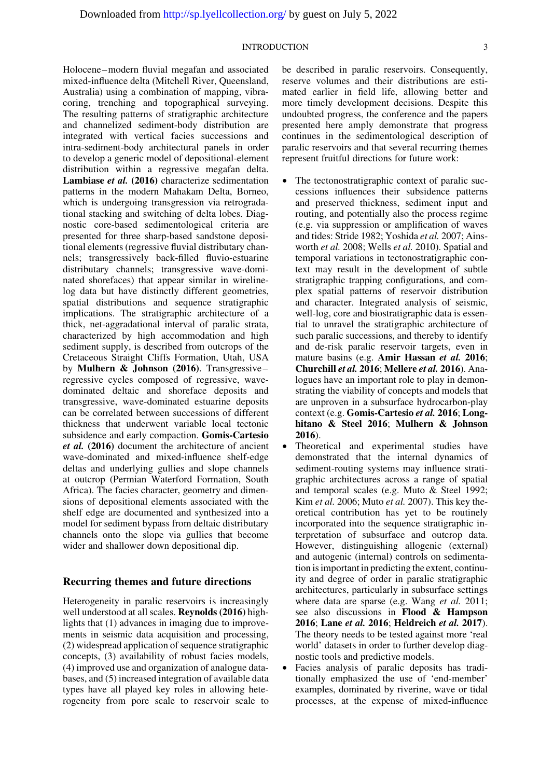## INTRODUCTION 3

Holocene–modern fluvial megafan and associated mixed-influence delta (Mitchell River, Queensland, Australia) using a combination of mapping, vibracoring, trenching and topographical surveying. The resulting patterns of stratigraphic architecture and channelized sediment-body distribution are integrated with vertical facies successions and intra-sediment-body architectural panels in order to develop a generic model of depositional-element distribution within a regressive megafan delta. Lambiase *et al.* (2016) characterize sedimentation patterns in the modern Mahakam Delta, Borneo, which is undergoing transgression via retrogradational stacking and switching of delta lobes. Diagnostic core-based sedimentological criteria are presented for three sharp-based sandstone depositional elements (regressive fluvial distributary channels; transgressively back-filled fluvio-estuarine distributary channels; transgressive wave-dominated shorefaces) that appear similar in wirelinelog data but have distinctly different geometries, spatial distributions and sequence stratigraphic implications. The stratigraphic architecture of a thick, net-aggradational interval of paralic strata, characterized by high accommodation and high sediment supply, is described from outcrops of the Cretaceous Straight Cliffs Formation, Utah, USA by Mulhern & Johnson (2016). Transgressive – regressive cycles composed of regressive, wavedominated deltaic and shoreface deposits and transgressive, wave-dominated estuarine deposits can be correlated between successions of different thickness that underwent variable local tectonic subsidence and early compaction. Gomis-Cartesio et al. (2016) document the architecture of ancient wave-dominated and mixed-influence shelf-edge deltas and underlying gullies and slope channels at outcrop (Permian Waterford Formation, South Africa). The facies character, geometry and dimensions of depositional elements associated with the shelf edge are documented and synthesized into a model for sediment bypass from deltaic distributary channels onto the slope via gullies that become wider and shallower down depositional dip.

## Recurring themes and future directions

Heterogeneity in paralic reservoirs is increasingly well understood at all scales. Reynolds (2016) highlights that (1) advances in imaging due to improvements in seismic data acquisition and processing, (2) widespread application of sequence stratigraphic concepts, (3) availability of robust facies models, (4) improved use and organization of analogue databases, and (5) increased integration of available data types have all played key roles in allowing heterogeneity from pore scale to reservoir scale to

be described in paralic reservoirs. Consequently, reserve volumes and their distributions are estimated earlier in field life, allowing better and more timely development decisions. Despite this undoubted progress, the conference and the papers presented here amply demonstrate that progress continues in the sedimentological description of paralic reservoirs and that several recurring themes represent fruitful directions for future work:

- The tectonostratigraphic context of paralic successions influences their subsidence patterns and preserved thickness, sediment input and routing, and potentially also the process regime (e.g. via suppression or amplification of waves and tides: Stride 1982; Yoshida et al. 2007; Ainsworth et al. 2008; Wells et al. 2010). Spatial and temporal variations in tectonostratigraphic context may result in the development of subtle stratigraphic trapping configurations, and complex spatial patterns of reservoir distribution and character. Integrated analysis of seismic, well-log, core and biostratigraphic data is essential to unravel the stratigraphic architecture of such paralic successions, and thereby to identify and de-risk paralic reservoir targets, even in mature basins (e.g. Amir Hassan et al. 2016; Churchill et al. 2016; Mellere et al. 2016). Analogues have an important role to play in demonstrating the viability of concepts and models that are unproven in a subsurface hydrocarbon-play context (e.g. Gomis-Cartesio et al. 2016; Longhitano & Steel 2016; Mulhern & Johnson 2016).
- † Theoretical and experimental studies have demonstrated that the internal dynamics of sediment-routing systems may influence stratigraphic architectures across a range of spatial and temporal scales (e.g. Muto & Steel 1992; Kim et al. 2006; Muto et al. 2007). This key theoretical contribution has yet to be routinely incorporated into the sequence stratigraphic interpretation of subsurface and outcrop data. However, distinguishing allogenic (external) and autogenic (internal) controls on sedimentation is important in predicting the extent, continuity and degree of order in paralic stratigraphic architectures, particularly in subsurface settings where data are sparse (e.g. Wang et al. 2011; see also discussions in Flood & Hampson 2016; Lane et al. 2016; Heldreich et al. 2017). The theory needs to be tested against more 'real world' datasets in order to further develop diagnostic tools and predictive models.
- † Facies analysis of paralic deposits has traditionally emphasized the use of 'end-member' examples, dominated by riverine, wave or tidal processes, at the expense of mixed-influence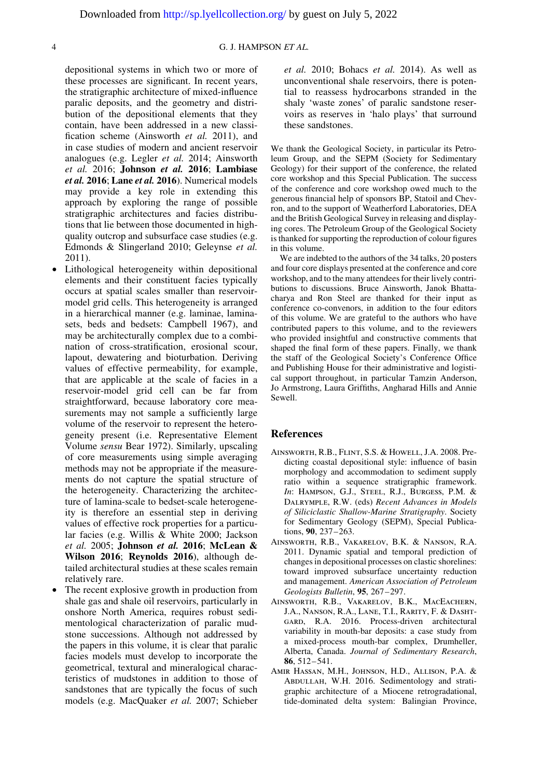4 G. J. HAMPSON ET AL.

depositional systems in which two or more of these processes are significant. In recent years, the stratigraphic architecture of mixed-influence paralic deposits, and the geometry and distribution of the depositional elements that they contain, have been addressed in a new classification scheme (Ainsworth et al. 2011), and in case studies of modern and ancient reservoir analogues (e.g. Legler et al. 2014; Ainsworth et al. 2016; Johnson et al. 2016; Lambiase et al. 2016; Lane et al. 2016). Numerical models may provide a key role in extending this approach by exploring the range of possible stratigraphic architectures and facies distributions that lie between those documented in highquality outcrop and subsurface case studies (e.g. Edmonds & Slingerland 2010; Geleynse et al. 2011).

- Lithological heterogeneity within depositional elements and their constituent facies typically occurs at spatial scales smaller than reservoirmodel grid cells. This heterogeneity is arranged in a hierarchical manner (e.g. laminae, laminasets, beds and bedsets: Campbell 1967), and may be architecturally complex due to a combination of cross-stratification, erosional scour, lapout, dewatering and bioturbation. Deriving values of effective permeability, for example, that are applicable at the scale of facies in a reservoir-model grid cell can be far from straightforward, because laboratory core measurements may not sample a sufficiently large volume of the reservoir to represent the heterogeneity present (i.e. Representative Element Volume sensu Bear 1972). Similarly, upscaling of core measurements using simple averaging methods may not be appropriate if the measurements do not capture the spatial structure of the heterogeneity. Characterizing the architecture of lamina-scale to bedset-scale heterogeneity is therefore an essential step in deriving values of effective rock properties for a particular facies (e.g. Willis & White 2000; Jackson et al. 2005; Johnson et al. 2016; McLean & Wilson 2016; Reynolds 2016), although detailed architectural studies at these scales remain relatively rare.
- The recent explosive growth in production from shale gas and shale oil reservoirs, particularly in onshore North America, requires robust sedimentological characterization of paralic mudstone successions. Although not addressed by the papers in this volume, it is clear that paralic facies models must develop to incorporate the geometrical, textural and mineralogical characteristics of mudstones in addition to those of sandstones that are typically the focus of such models (e.g. MacQuaker et al. 2007; Schieber

et al. 2010; Bohacs et al. 2014). As well as unconventional shale reservoirs, there is potential to reassess hydrocarbons stranded in the shaly 'waste zones' of paralic sandstone reservoirs as reserves in 'halo plays' that surround these sandstones.

We thank the Geological Society, in particular its Petroleum Group, and the SEPM (Society for Sedimentary Geology) for their support of the conference, the related core workshop and this Special Publication. The success of the conference and core workshop owed much to the generous financial help of sponsors BP, Statoil and Chevron, and to the support of Weatherford Laboratories, DEA and the British Geological Survey in releasing and displaying cores. The Petroleum Group of the Geological Society is thanked for supporting the reproduction of colour figures in this volume.

We are indebted to the authors of the 34 talks, 20 posters and four core displays presented at the conference and core workshop, and to the many attendees for their lively contributions to discussions. Bruce Ainsworth, Janok Bhattacharya and Ron Steel are thanked for their input as conference co-convenors, in addition to the four editors of this volume. We are grateful to the authors who have contributed papers to this volume, and to the reviewers who provided insightful and constructive comments that shaped the final form of these papers. Finally, we thank the staff of the Geological Society's Conference Office and Publishing House for their administrative and logistical support throughout, in particular Tamzin Anderson, Jo Armstrong, Laura Griffiths, Angharad Hills and Annie Sewell.

## **References**

- Ainsworth, R.B., Flint, S.S. & Howell, J.A. 2008. Predicting coastal depositional style: influence of basin morphology and accommodation to sediment supply ratio within a sequence stratigraphic framework. In: Hampson, G.J., Steel, R.J., Burgess, P.M. & Dalrymple, R.W. (eds) Recent Advances in Models of Siliciclastic Shallow-Marine Stratigraphy. Society for Sedimentary Geology (SEPM), Special Publications, 90, 237–263.
- Ainsworth, R.B., Vakarelov, B.K. & Nanson, R.A. 2011. Dynamic spatial and temporal prediction of changes in depositional processes on clastic shorelines: toward improved subsurface uncertainty reduction and management. American Association of Petroleum Geologists Bulletin, 95, 267–297.
- Ainsworth, R.B., Vakarelov, B.K., MacEachern, J.A., Nanson, R.A., Lane, T.I., Rarity, F. & Dashtgard, R.A. 2016. Process-driven architectural variability in mouth-bar deposits: a case study from a mixed-process mouth-bar complex, Drumheller, Alberta, Canada. Journal of Sedimentary Research, 86, 512– 541.
- Amir Hassan, M.H., Johnson, H.D., Allison, P.A. & ABDULLAH, W.H. 2016. Sedimentology and stratigraphic architecture of a Miocene retrogradational, tide-dominated delta system: Balingian Province,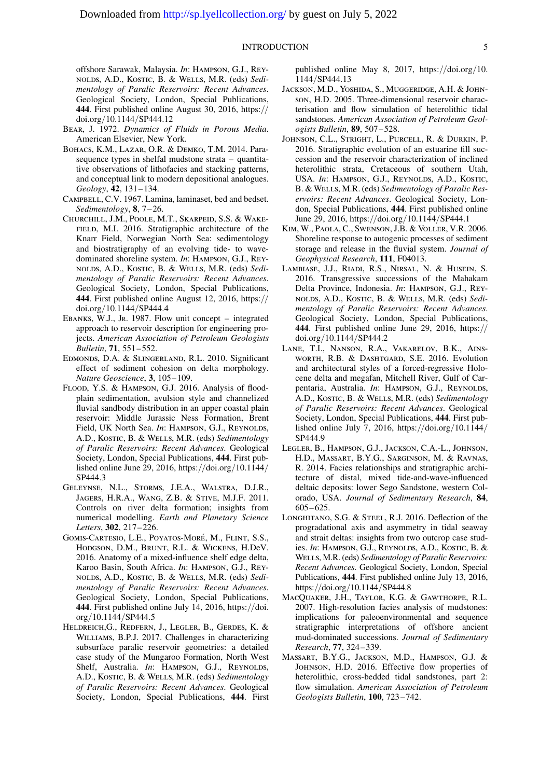### INTRODUCTION 5

offshore Sarawak, Malaysia. In: Hampson, G.J., Reynolds, A.D., Kostic, B. & Wells, M.R. (eds) Sedimentology of Paralic Reservoirs: Recent Advances. Geological Society, London, Special Publications, 444. First published online August 30, 2016, [https:](https://doi.org/10.1144/SP444.12)// doi.org/10.1144/[SP444.12](https://doi.org/10.1144/SP444.12)

- Bear, J. 1972. Dynamics of Fluids in Porous Media. American Elsevier, New York.
- Bohacs, K.M., Lazar, O.R. & Demko, T.M. 2014. Parasequence types in shelfal mudstone strata – quantitative observations of lithofacies and stacking patterns, and conceptual link to modern depositional analogues. Geology, 42, 131– 134.
- Campbell, C.V. 1967. Lamina, laminaset, bed and bedset. Sedimentology, 8, 7-26.
- Churchill, J.M., Poole, M.T., Skarpeid, S.S. & Wake-FIELD, M.I. 2016. Stratigraphic architecture of the Knarr Field, Norwegian North Sea: sedimentology and biostratigraphy of an evolving tide- to wavedominated shoreline system. In: Hampson, G.J., Reynolds, A.D., Kostic, B. & Wells, M.R. (eds) Sedimentology of Paralic Reservoirs: Recent Advances. Geological Society, London, Special Publications, 444. First published online August 12, 2016, [https:](https://doi.org/10.1144/SP444.4)// doi.org/10.1144/[SP444.4](https://doi.org/10.1144/SP444.4)
- Ebanks, W.J., JR. 1987. Flow unit concept integrated approach to reservoir description for engineering projects. American Association of Petroleum Geologists Bulletin, 71, 551–552.
- Edmonds, D.A. & Slingerland, R.L. 2010. Significant effect of sediment cohesion on delta morphology. Nature Geoscience, 3, 105–109.
- FLOOD, Y.S. & HAMPSON, G.J. 2016. Analysis of floodplain sedimentation, avulsion style and channelized fluvial sandbody distribution in an upper coastal plain reservoir: Middle Jurassic Ness Formation, Brent Field, UK North Sea. In: HAMPSON, G.J., REYNOLDS, A.D., Kostic, B. & Wells, M.R. (eds) Sedimentology of Paralic Reservoirs: Recent Advances. Geological Society, London, Special Publications, 444. First published online June 29, 2016, [https:](https://doi.org/10.1144/SP444.3)//doi.org/[10.1144](https://doi.org/10.1144/SP444.3)/ [SP444.3](https://doi.org/10.1144/SP444.3)
- Geleynse, N.L., Storms, J.E.A., Walstra, D.J.R., Jagers, H.R.A., Wang, Z.B. & Stive, M.J.F. 2011. Controls on river delta formation; insights from numerical modelling. Earth and Planetary Science Letters, 302, 217–226.
- GOMIS-CARTESIO, L.E., POYATOS-MORÉ, M., FLINT, S.S., Hodgson, D.M., Brunt, R.L. & Wickens, H.DeV. 2016. Anatomy of a mixed-influence shelf edge delta, Karoo Basin, South Africa. In: Hampson, G.J., Reynolds, A.D., Kostic, B. & Wells, M.R. (eds) Sedimentology of Paralic Reservoirs: Recent Advances. Geological Society, London, Special Publications, 444. First published online July 14, 2016, [https:](https://doi.org/10.1144/SP444.5)//doi. org/10.1144/[SP444.5](https://doi.org/10.1144/SP444.5)
- Heldreich,G., Redfern, J., Legler, B., Gerdes, K. & Williams, B.P.J. 2017. Challenges in characterizing subsurface paralic reservoir geometries: a detailed case study of the Mungaroo Formation, North West Shelf, Australia. In: HAMPSON, G.J., REYNOLDS, A.D., Kostic, B. & Wells, M.R. (eds) Sedimentology of Paralic Reservoirs: Recent Advances. Geological Society, London, Special Publications, 444. First

published online May 8, 2017, [https:](https://doi.org/10.1144/SP444.13)//[doi.org](https://doi.org/10.1144/SP444.13)/10. 1144/[SP444.13](https://doi.org/10.1144/SP444.13)

- Jackson, M.D., Yoshida, S., Muggeridge, A.H. & Johnson, H.D. 2005. Three-dimensional reservoir characterisation and flow simulation of heterolithic tidal sandstones. American Association of Petroleum Geologists Bulletin, 89, 507-528.
- Johnson, C.L., Stright, L., Purcell, R. & Durkin, P. 2016. Stratigraphic evolution of an estuarine fill succession and the reservoir characterization of inclined heterolithic strata, Cretaceous of southern Utah, USA. In: HAMPSON, G.J., REYNOLDS, A.D., KOSTIC, B. & Wells, M.R. (eds) Sedimentology of Paralic Reservoirs: Recent Advances. Geological Society, London, Special Publications, 444. First published online June 29, 2016, [https:](https://doi.org/10.1144/SP444.1)//doi.org/10.1144/[SP444.1](https://doi.org/10.1144/SP444.1)
- Kim, W., Paola, C., Swenson, J.B. & Voller, V.R. 2006. Shoreline response to autogenic processes of sediment storage and release in the fluvial system. Journal of Geophysical Research, 111, F04013.
- Lambiase, J.J., Riadi, R.S., Nirsal, N. & Husein, S. 2016. Transgressive successions of the Mahakam Delta Province, Indonesia. In: Hampson, G.J., Reynolds, A.D., Kostic, B. & Wells, M.R. (eds) Sedimentology of Paralic Reservoirs: Recent Advances. Geological Society, London, Special Publications, 444. First published online June 29, 2016, [https:](https://doi.org/10.1144/SP444.2)// doi.org/10.1144/[SP444.2](https://doi.org/10.1144/SP444.2)
- Lane, T.I., Nanson, R.A., Vakarelov, B.K., Ainsworth, R.B. & Dashtgard, S.E. 2016. Evolution and architectural styles of a forced-regressive Holocene delta and megafan, Mitchell River, Gulf of Carpentaria, Australia. In: HAMPSON, G.J., REYNOLDS, A.D., Kostic, B. & Wells, M.R. (eds) Sedimentology of Paralic Reservoirs: Recent Advances. Geological Society, London, Special Publications, 444. First published online July 7, 2016, [https:](https://doi.org/10.1144/SP444.9)//doi.org/[10.1144](https://doi.org/10.1144/SP444.9)/ [SP444.9](https://doi.org/10.1144/SP444.9)
- Legler, B., Hampson, G.J., Jackson, C.A.-L., Johnson, H.D., Massart, B.Y.G., Sarginson, M. & Ravnas, R. 2014. Facies relationships and stratigraphic architecture of distal, mixed tide-and-wave-influenced deltaic deposits: lower Sego Sandstone, western Colorado, USA. Journal of Sedimentary Research, 84,  $605 - 625$ .
- Longhitano, S.G. & Steel, R.J. 2016. Deflection of the progradational axis and asymmetry in tidal seaway and strait deltas: insights from two outcrop case studies. In: HAMPSON, G.J., REYNOLDS, A.D., KOSTIC, B. & WELLS, M.R. (eds) Sedimentology of Paralic Reservoirs: Recent Advances. Geological Society, London, Special Publications, 444. First published online July 13, 2016, [https:](https://doi.org/10.1144/SP444.8)//doi.org/10.1144/[SP444.8](https://doi.org/10.1144/SP444.8)
- MacQuaker, J.H., Taylor, K.G. & Gawthorpe, R.L. 2007. High-resolution facies analysis of mudstones: implications for paleoenvironmental and sequence stratigraphic interpretations of offshore ancient mud-dominated successions. Journal of Sedimentary Research, 77, 324–339.
- Massart, B.Y.G., Jackson, M.D., Hampson, G.J. & Johnson, H.D. 2016. Effective flow properties of heterolithic, cross-bedded tidal sandstones, part 2: flow simulation. American Association of Petroleum Geologists Bulletin, 100, 723 –742.